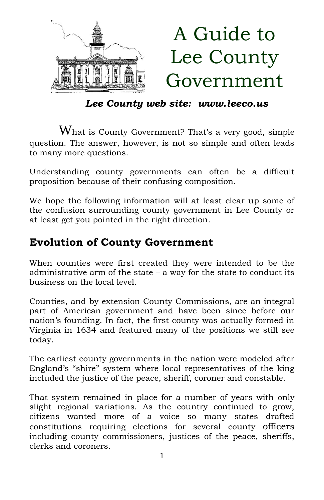

*Lee County web site: www.leeco.us*

What is County Government? That's a very good, simple question. The answer, however, is not so simple and often leads to many more questions.

Understanding county governments can often be a difficult proposition because of their confusing composition.

We hope the following information will at least clear up some of the confusion surrounding county government in Lee County or at least get you pointed in the right direction.

## **Evolution of County Government**

When counties were first created they were intended to be the administrative arm of the state  $-$  a way for the state to conduct its business on the local level.

Counties, and by extension County Commissions, are an integral part of American government and have been since before our nation's founding. In fact, the first county was actually formed in Virginia in 1634 and featured many of the positions we still see today.

The earliest county governments in the nation were modeled after England's "shire" system where local representatives of the king included the justice of the peace, sheriff, coroner and constable.

That system remained in place for a number of years with only slight regional variations. As the country continued to grow, citizens wanted more of a voice so many states drafted constitutions requiring elections for several county officers including county commissioners, justices of the peace, sheriffs, clerks and coroners.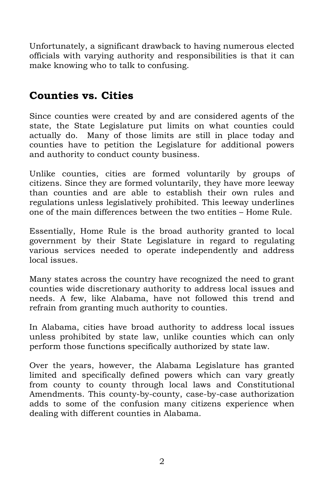Unfortunately, a significant drawback to having numerous elected officials with varying authority and responsibilities is that it can make knowing who to talk to confusing.

## **Counties vs. Cities**

Since counties were created by and are considered agents of the state, the State Legislature put limits on what counties could actually do. Many of those limits are still in place today and counties have to petition the Legislature for additional powers and authority to conduct county business.

Unlike counties, cities are formed voluntarily by groups of citizens. Since they are formed voluntarily, they have more leeway than counties and are able to establish their own rules and regulations unless legislatively prohibited. This leeway underlines one of the main differences between the two entities – Home Rule.

Essentially, Home Rule is the broad authority granted to local government by their State Legislature in regard to regulating various services needed to operate independently and address local issues.

Many states across the country have recognized the need to grant counties wide discretionary authority to address local issues and needs. A few, like Alabama, have not followed this trend and refrain from granting much authority to counties.

In Alabama, cities have broad authority to address local issues unless prohibited by state law, unlike counties which can only perform those functions specifically authorized by state law.

Over the years, however, the Alabama Legislature has granted limited and specifically defined powers which can vary greatly from county to county through local laws and Constitutional Amendments. This county-by-county, case-by-case authorization adds to some of the confusion many citizens experience when dealing with different counties in Alabama.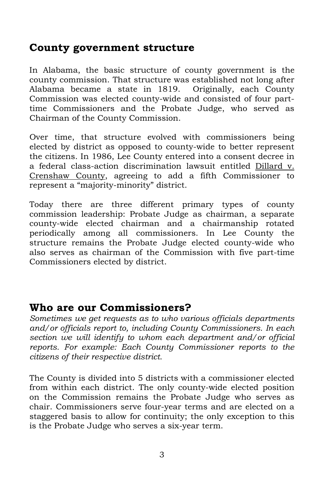#### **County government structure**

In Alabama, the basic structure of county government is the county commission. That structure was established not long after Alabama became a state in 1819. Originally, each County Commission was elected county-wide and consisted of four parttime Commissioners and the Probate Judge, who served as Chairman of the County Commission.

Over time, that structure evolved with commissioners being elected by district as opposed to county-wide to better represent the citizens. In 1986, Lee County entered into a consent decree in a federal class-action discrimination lawsuit entitled Dillard v. Crenshaw County, agreeing to add a fifth Commissioner to represent a "majority-minority" district.

Today there are three different primary types of county commission leadership: Probate Judge as chairman, a separate county-wide elected chairman and a chairmanship rotated periodically among all commissioners. In Lee County the structure remains the Probate Judge elected county-wide who also serves as chairman of the Commission with five part-time Commissioners elected by district.

#### **Who are our Commissioners?**

*Sometimes we get requests as to who various officials departments and/or officials report to, including County Commissioners. In each section we will identify to whom each department and/or official reports. For example: Each County Commissioner reports to the citizens of their respective district.*

The County is divided into 5 districts with a commissioner elected from within each district. The only county-wide elected position on the Commission remains the Probate Judge who serves as chair. Commissioners serve four-year terms and are elected on a staggered basis to allow for continuity; the only exception to this is the Probate Judge who serves a six-year term.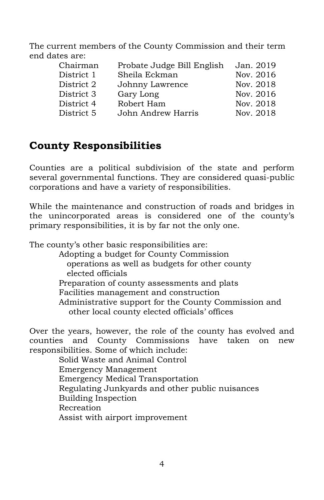The current members of the County Commission and their term end dates are:

| Chairman   | Probate Judge Bill English | Jan. 2019 |
|------------|----------------------------|-----------|
| District 1 | Sheila Eckman              | Nov. 2016 |
| District 2 | Johnny Lawrence            | Nov. 2018 |
| District 3 | Gary Long                  | Nov. 2016 |
| District 4 | Robert Ham                 | Nov. 2018 |
| District 5 | John Andrew Harris         | Nov. 2018 |

## **County Responsibilities**

Counties are a political subdivision of the state and perform several governmental functions. They are considered quasi-public corporations and have a variety of responsibilities.

While the maintenance and construction of roads and bridges in the unincorporated areas is considered one of the county's primary responsibilities, it is by far not the only one.

The county's other basic responsibilities are: Adopting a budget for County Commission operations as well as budgets for other county elected officials Preparation of county assessments and plats Facilities management and construction Administrative support for the County Commission and other local county elected officials' offices

Over the years, however, the role of the county has evolved and counties and County Commissions have taken on new responsibilities. Some of which include:

Solid Waste and Animal Control Emergency Management Emergency Medical Transportation Regulating Junkyards and other public nuisances Building Inspection Recreation Assist with airport improvement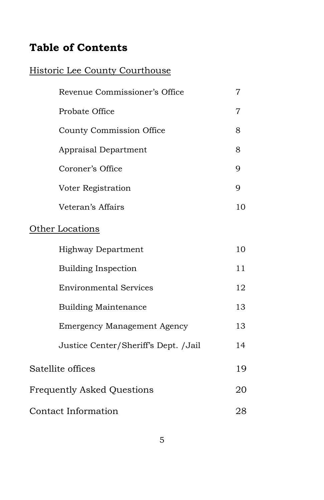# **Table of Contents**

### Historic Lee County Courthouse

| Revenue Commissioner's Office        | 7              |
|--------------------------------------|----------------|
| Probate Office                       | $\overline{7}$ |
| County Commission Office             | 8              |
| Appraisal Department                 | 8              |
| Coroner's Office                     | 9              |
| Voter Registration                   | 9              |
| Veteran's Affairs                    | 10             |
| Other Locations                      |                |
| <b>Highway Department</b>            | 10             |
| <b>Building Inspection</b>           | 11             |
| <b>Environmental Services</b>        | 12             |
| <b>Building Maintenance</b>          | 13             |
| <b>Emergency Management Agency</b>   | 13             |
| Justice Center/Sheriff's Dept. /Jail | 14             |
| Satellite offices                    |                |
| <b>Frequently Asked Questions</b>    |                |
| Contact Information                  | 28             |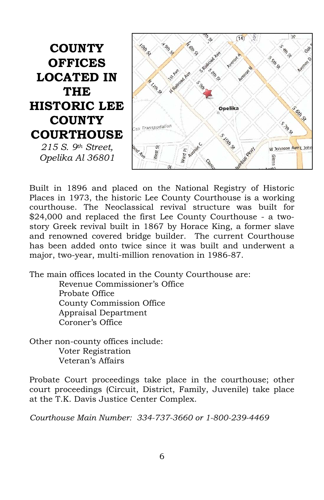**COUNTY OFFICES LOCATED IN THE HISTORIC LEE COUNTY COURTHOUSE** *215 S. 9th Street, Opelika Al 36801*



Built in 1896 and placed on the National Registry of Historic Places in 1973, the historic Lee County Courthouse is a working courthouse. The Neoclassical revival structure was built for \$24,000 and replaced the first Lee County Courthouse - a twostory Greek revival built in 1867 by Horace King, a former slave and renowned covered bridge builder. The current Courthouse has been added onto twice since it was built and underwent a major, two-year, multi-million renovation in 1986-87.

The main offices located in the County Courthouse are:

Revenue Commissioner's Office Probate Office County Commission Office Appraisal Department Coroner's Office

Other non-county offices include: Voter Registration Veteran's Affairs

Probate Court proceedings take place in the courthouse; other court proceedings (Circuit, District, Family, Juvenile) take place at the T.K. Davis Justice Center Complex.

*Courthouse Main Number: 334-737-3660 or 1-800-239-4469*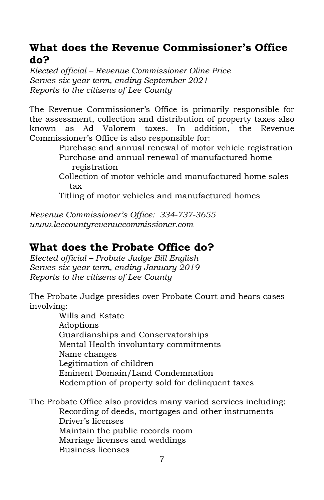### **What does the Revenue Commissioner's Office do?**

*Elected official – Revenue Commissioner Oline Price Serves six-year term, ending September 2021 Reports to the citizens of Lee County*

The Revenue Commissioner's Office is primarily responsible for the assessment, collection and distribution of property taxes also known as Ad Valorem taxes. In addition, the Revenue Commissioner's Office is also responsible for:

> Purchase and annual renewal of motor vehicle registration Purchase and annual renewal of manufactured home registration

Collection of motor vehicle and manufactured home sales tax

Titling of motor vehicles and manufactured homes

*Revenue Commissioner's Office: 334-737-3655 www.leecountyrevenuecommissioner.com*

## **What does the Probate Office do?**

*Elected official – Probate Judge Bill English Serves six-year term, ending January 2019 Reports to the citizens of Lee County*

The Probate Judge presides over Probate Court and hears cases involving:

> Wills and Estate Adoptions Guardianships and Conservatorships Mental Health involuntary commitments Name changes Legitimation of children Eminent Domain/Land Condemnation Redemption of property sold for delinquent taxes

The Probate Office also provides many varied services including: Recording of deeds, mortgages and other instruments Driver's licenses Maintain the public records room Marriage licenses and weddings Business licenses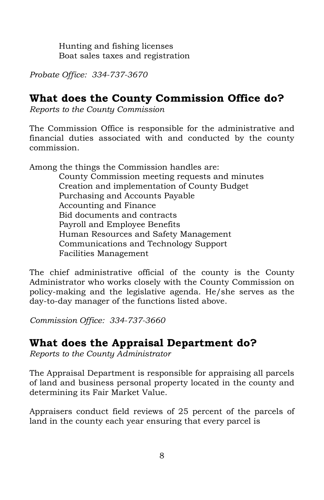Hunting and fishing licenses Boat sales taxes and registration

*Probate Office: 334-737-3670*

### **What does the County Commission Office do?**

*Reports to the County Commission*

The Commission Office is responsible for the administrative and financial duties associated with and conducted by the county commission.

Among the things the Commission handles are:

County Commission meeting requests and minutes Creation and implementation of County Budget Purchasing and Accounts Payable Accounting and Finance Bid documents and contracts Payroll and Employee Benefits Human Resources and Safety Management Communications and Technology Support Facilities Management

The chief administrative official of the county is the County Administrator who works closely with the County Commission on policy-making and the legislative agenda. He/she serves as the day-to-day manager of the functions listed above.

*Commission Office: 334-737-3660*

### **What does the Appraisal Department do?**

*Reports to the County Administrator*

The Appraisal Department is responsible for appraising all parcels of land and business personal property located in the county and determining its Fair Market Value.

Appraisers conduct field reviews of 25 percent of the parcels of land in the county each year ensuring that every parcel is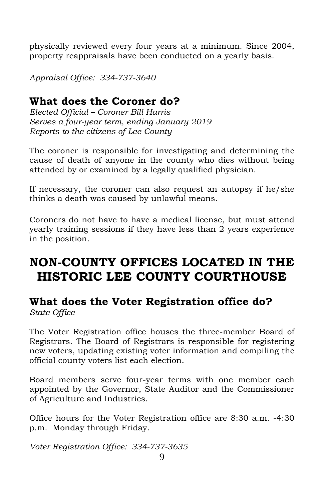physically reviewed every four years at a minimum. Since 2004, property reappraisals have been conducted on a yearly basis.

*Appraisal Office: 334-737-3640*

## **What does the Coroner do?**

*Elected Official – Coroner Bill Harris Serves a four-year term, ending January 2019 Reports to the citizens of Lee County*

The coroner is responsible for investigating and determining the cause of death of anyone in the county who dies without being attended by or examined by a legally qualified physician.

If necessary, the coroner can also request an autopsy if he/she thinks a death was caused by unlawful means.

Coroners do not have to have a medical license, but must attend yearly training sessions if they have less than 2 years experience in the position.

# **NON-COUNTY OFFICES LOCATED IN THE HISTORIC LEE COUNTY COURTHOUSE**

#### **What does the Voter Registration office do?** *State Office*

The Voter Registration office houses the three-member Board of Registrars. The Board of Registrars is responsible for registering new voters, updating existing voter information and compiling the official county voters list each election.

Board members serve four-year terms with one member each appointed by the Governor, State Auditor and the Commissioner of Agriculture and Industries.

Office hours for the Voter Registration office are 8:30 a.m. -4:30 p.m. Monday through Friday.

*Voter Registration Office: 334-737-3635*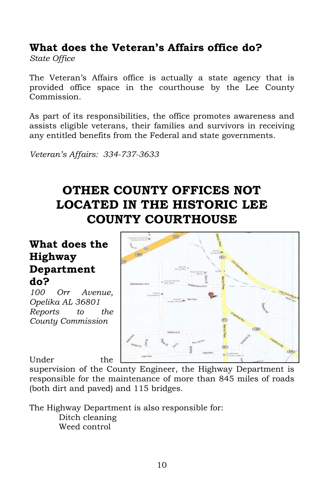## **What does the Veteran's Affairs office do?**

*State Office*

The Veteran's Affairs office is actually a state agency that is provided office space in the courthouse by the Lee County Commission.

As part of its responsibilities, the office promotes awareness and assists eligible veterans, their families and survivors in receiving any entitled benefits from the Federal and state governments.

*Veteran's Affairs: 334-737-3633*

# **OTHER COUNTY OFFICES NOT LOCATED IN THE HISTORIC LEE COUNTY COURTHOUSE**

## **What does the Highway Department do?**

*100 Orr Avenue, Opelika AL 36801 Reports to the County Commission*

 $\overline{c}$  $\overline{C(0)}$  $\overline{\text{G66}}$ 

Under the supervision of the County Engineer, the Highway Department is responsible for the maintenance of more than 845 miles of roads (both dirt and paved) and 115 bridges.

The Highway Department is also responsible for: Ditch cleaning Weed control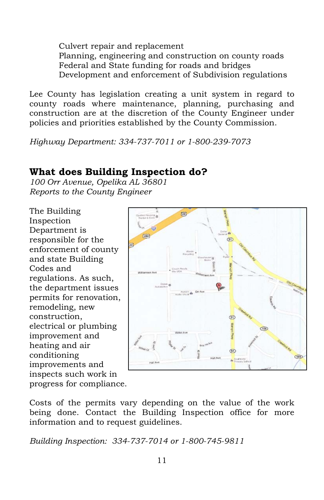Culvert repair and replacement Planning, engineering and construction on county roads Federal and State funding for roads and bridges Development and enforcement of Subdivision regulations

Lee County has legislation creating a unit system in regard to county roads where maintenance, planning, purchasing and construction are at the discretion of the County Engineer under policies and priorities established by the County Commission.

*Highway Department: 334-737-7011 or 1-800-239-7073*

### **What does Building Inspection do?**

*100 Orr Avenue, Opelika AL 36801 Reports to the County Engineer*

The Building Inspection Department is responsible for the enforcement of county and state Building Codes and regulations. As such, the department issues permits for renovation, remodeling, new construction, electrical or plumbing improvement and heating and air conditioning improvements and inspects such work in progress for compliance.



Costs of the permits vary depending on the value of the work being done. Contact the Building Inspection office for more information and to request guidelines.

*Building Inspection: 334-737-7014 or 1-800-745-9811*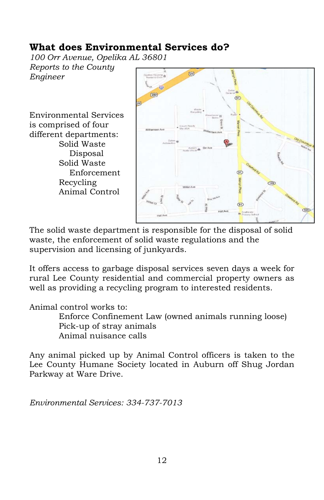### **What does Environmental Services do?**

*100 Orr Avenue, Opelika AL 36801 Reports to the County Engineer*

Environmental Services is comprised of four different departments: Solid Waste Disposal Solid Waste Enforcement Recycling Animal Control



The solid waste department is responsible for the disposal of solid waste, the enforcement of solid waste regulations and the supervision and licensing of junkyards.

It offers access to garbage disposal services seven days a week for rural Lee County residential and commercial property owners as well as providing a recycling program to interested residents.

Animal control works to:

Enforce Confinement Law (owned animals running loose) Pick-up of stray animals Animal nuisance calls

Any animal picked up by Animal Control officers is taken to the Lee County Humane Society located in Auburn off Shug Jordan Parkway at Ware Drive.

*Environmental Services: 334-737-7013*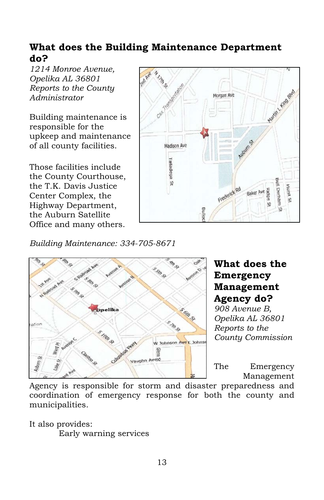### **What does the Building Maintenance Department do?**

*1214 Monroe Avenue, Opelika AL 36801 Reports to the County Administrator*

Building maintenance is responsible for the upkeep and maintenance of all county facilities.

Those facilities include the County Courthouse, the T.K. Davis Justice Center Complex, the Highway Department, the Auburn Satellite Office and many others.



*Building Maintenance: 334-705-8671*



### **What does the Emergency Management Agency do?**

*908 Avenue B, Opelika AL 36801 Reports to the County Commission*

The Emergency Management

Agency is responsible for storm and disaster preparedness and coordination of emergency response for both the county and municipalities.

It also provides:

Early warning services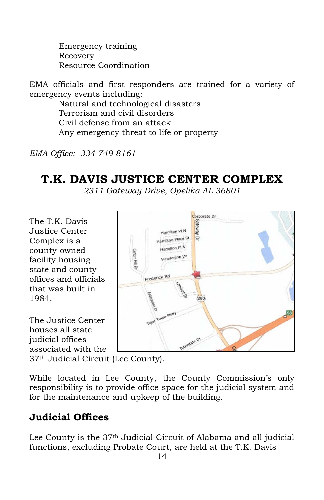Emergency training Recovery Resource Coordination

EMA officials and first responders are trained for a variety of emergency events including:

> Natural and technological disasters Terrorism and civil disorders Civil defense from an attack Any emergency threat to life or property

*EMA Office: 334-749-8161*

# **T.K. DAVIS JUSTICE CENTER COMPLEX**

*2311 Gateway Drive, Opelika AL 36801*

The T.K. Davis Justice Center Complex is a county-owned facility housing state and county offices and officials that was built in 1984.

The Justice Center houses all state judicial offices associated with the



37th Judicial Circuit (Lee County).

While located in Lee County, the County Commission's only responsibility is to provide office space for the judicial system and for the maintenance and upkeep of the building.

## **Judicial Offices**

Lee County is the 37th Judicial Circuit of Alabama and all judicial functions, excluding Probate Court, are held at the T.K. Davis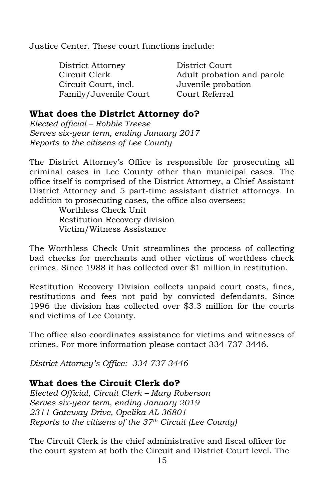Justice Center. These court functions include:

District Attorney District Court Circuit Clerk Adult probation and parole Circuit Court, incl. Juvenile probation Family/Juvenile Court Court Referral

#### **What does the District Attorney do?**

*Elected official – Robbie Treese Serves six-year term, ending January 2017 Reports to the citizens of Lee County*

The District Attorney's Office is responsible for prosecuting all criminal cases in Lee County other than municipal cases. The office itself is comprised of the District Attorney, a Chief Assistant District Attorney and 5 part-time assistant district attorneys. In addition to prosecuting cases, the office also oversees:

Worthless Check Unit Restitution Recovery division Victim/Witness Assistance

The Worthless Check Unit streamlines the process of collecting bad checks for merchants and other victims of worthless check crimes. Since 1988 it has collected over \$1 million in restitution.

Restitution Recovery Division collects unpaid court costs, fines, restitutions and fees not paid by convicted defendants. Since 1996 the division has collected over \$3.3 million for the courts and victims of Lee County.

The office also coordinates assistance for victims and witnesses of crimes. For more information please contact 334-737-3446.

*District Attorney's Office: 334-737-3446*

#### **What does the Circuit Clerk do?**

*Elected Official, Circuit Clerk – Mary Roberson Serves six-year term, ending January 2019 2311 Gateway Drive, Opelika AL 36801 Reports to the citizens of the 37th Circuit (Lee County)*

The Circuit Clerk is the chief administrative and fiscal officer for the court system at both the Circuit and District Court level. The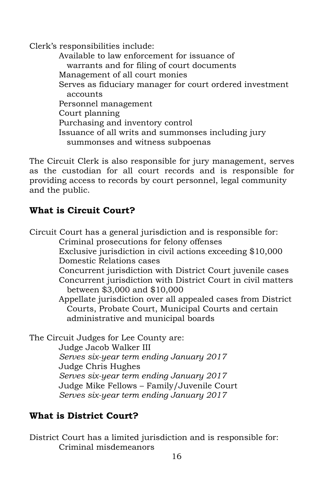Clerk's responsibilities include:

Available to law enforcement for issuance of warrants and for filing of court documents Management of all court monies Serves as fiduciary manager for court ordered investment accounts Personnel management Court planning Purchasing and inventory control Issuance of all writs and summonses including jury summonses and witness subpoenas

The Circuit Clerk is also responsible for jury management, serves as the custodian for all court records and is responsible for providing access to records by court personnel, legal community and the public.

#### **What is Circuit Court?**

Circuit Court has a general jurisdiction and is responsible for: Criminal prosecutions for felony offenses Exclusive jurisdiction in civil actions exceeding \$10,000 Domestic Relations cases Concurrent jurisdiction with District Court juvenile cases Concurrent jurisdiction with District Court in civil matters between \$3,000 and \$10,000 Appellate jurisdiction over all appealed cases from District Courts, Probate Court, Municipal Courts and certain administrative and municipal boards The Circuit Judges for Lee County are: Judge Jacob Walker III *Serves six-year term ending January 2017* Judge Chris Hughes *Serves six-year term ending January 2017*

Judge Mike Fellows – Family/Juvenile Court

*Serves six-year term ending January 2017*

### **What is District Court?**

District Court has a limited jurisdiction and is responsible for: Criminal misdemeanors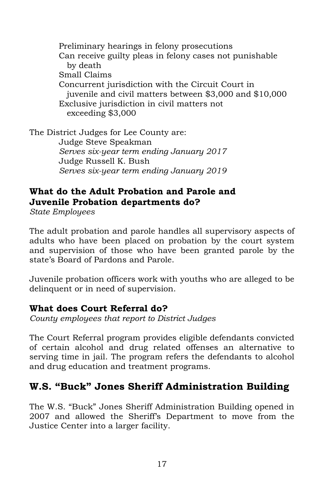Preliminary hearings in felony prosecutions Can receive guilty pleas in felony cases not punishable by death Small Claims Concurrent jurisdiction with the Circuit Court in juvenile and civil matters between \$3,000 and \$10,000 Exclusive jurisdiction in civil matters not exceeding \$3,000

The District Judges for Lee County are: Judge Steve Speakman *Serves six-year term ending January 2017* Judge Russell K. Bush *Serves six-year term ending January 2019*

### **What do the Adult Probation and Parole and Juvenile Probation departments do?**

*State Employees*

The adult probation and parole handles all supervisory aspects of adults who have been placed on probation by the court system and supervision of those who have been granted parole by the state's Board of Pardons and Parole.

Juvenile probation officers work with youths who are alleged to be delinquent or in need of supervision.

#### **What does Court Referral do?**

*County employees that report to District Judges*

The Court Referral program provides eligible defendants convicted of certain alcohol and drug related offenses an alternative to serving time in jail. The program refers the defendants to alcohol and drug education and treatment programs.

### **W.S. "Buck" Jones Sheriff Administration Building**

The W.S. "Buck" Jones Sheriff Administration Building opened in 2007 and allowed the Sheriff's Department to move from the Justice Center into a larger facility.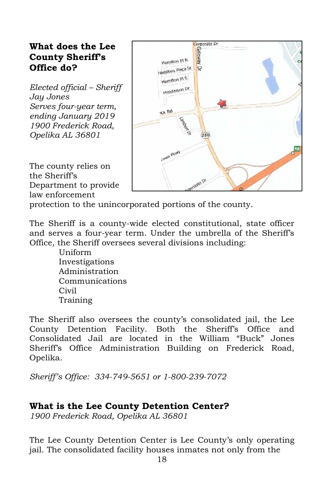#### **What does the Lee County Sheriff's Office do?**

*Elected official – Sheriff Jay Jones Serves four-year term, ending January 2019 1900 Frederick Road, Opelika AL 36801*

The county relies on the Sheriff's Department to provide law enforcement

| Corporate Dr       |                 |
|--------------------|-----------------|
|                    |                 |
| Hamilton PLN       | Cé              |
| Gateway Dr         |                 |
| Hamilton Place St  |                 |
| Hamilton PIS       |                 |
|                    | Ľ               |
| Henderson Dr       |                 |
|                    |                 |
|                    |                 |
| ick Rd             |                 |
|                    |                 |
|                    |                 |
|                    |                 |
| Lambar Cr<br>280   |                 |
|                    |                 |
|                    |                 |
| <b>CWID PKWY</b>   | 0 <sup>58</sup> |
|                    |                 |
|                    |                 |
|                    |                 |
|                    |                 |
|                    |                 |
| interstate pr<br>G |                 |

protection to the unincorporated portions of the county.

The Sheriff is a county-wide elected constitutional, state officer and serves a four-year term. Under the umbrella of the Sheriff's Office, the Sheriff oversees several divisions including:

> Uniform Investigations Administration Communications Civil Training

The Sheriff also oversees the county's consolidated jail, the Lee County Detention Facility. Both the Sheriff's Office and Consolidated Jail are located in the William "Buck" Jones Sheriff's Office Administration Building on Frederick Road, Opelika.

*Sheriff's Office: 334-749-5651 or 1-800-239-7072*

#### **What is the Lee County Detention Center?**

*1900 Frederick Road, Opelika AL 36801*

The Lee County Detention Center is Lee County's only operating jail. The consolidated facility houses inmates not only from the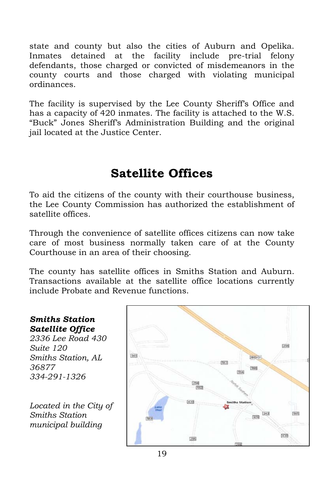state and county but also the cities of Auburn and Opelika. Inmates detained at the facility include pre-trial felony defendants, those charged or convicted of misdemeanors in the county courts and those charged with violating municipal ordinances.

The facility is supervised by the Lee County Sheriff's Office and has a capacity of 420 inmates. The facility is attached to the W.S. "Buck" Jones Sheriff's Administration Building and the original jail located at the Justice Center.

# **Satellite Offices**

To aid the citizens of the county with their courthouse business, the Lee County Commission has authorized the establishment of satellite offices.

Through the convenience of satellite offices citizens can now take care of most business normally taken care of at the County Courthouse in an area of their choosing.

The county has satellite offices in Smiths Station and Auburn. Transactions available at the satellite office locations currently include Probate and Revenue functions.

#### *Smiths Station Satellite Office*

*2336 Lee Road 430 Suite 120 Smiths Station, AL 36877 334-291-1326*

*Located in the City of Smiths Station municipal building*

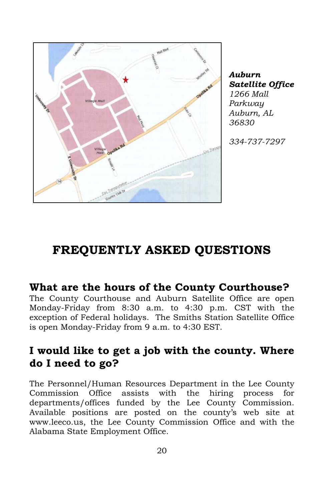

*Auburn Satellite Office 1266 Mall Parkway Auburn, AL 36830* 

*334-737-7297*

# **FREQUENTLY ASKED QUESTIONS**

#### **What are the hours of the County Courthouse?**

The County Courthouse and Auburn Satellite Office are open Monday-Friday from 8:30 a.m. to 4:30 p.m. CST with the exception of Federal holidays. The Smiths Station Satellite Office is open Monday-Friday from 9 a.m. to 4:30 EST.

## **I would like to get a job with the county. Where do I need to go?**

The Personnel/Human Resources Department in the Lee County Commission Office assists with the hiring process for departments/offices funded by the Lee County Commission. Available positions are posted on the county's web site at www.leeco.us, the Lee County Commission Office and with the Alabama State Employment Office.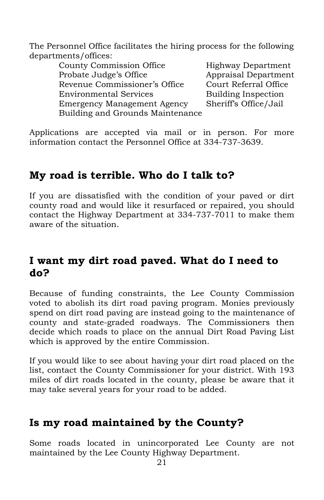The Personnel Office facilitates the hiring process for the following departments/offices:

County Commission Office Highway Department Probate Judge's Office Appraisal Department Revenue Commissioner's Office Court Referral Office Environmental Services Building Inspection Emergency Management Agency Sheriff's Office/Jail Building and Grounds Maintenance

Applications are accepted via mail or in person. For more information contact the Personnel Office at 334-737-3639.

## **My road is terrible. Who do I talk to?**

If you are dissatisfied with the condition of your paved or dirt county road and would like it resurfaced or repaired, you should contact the Highway Department at 334-737-7011 to make them aware of the situation.

## **I want my dirt road paved. What do I need to do?**

Because of funding constraints, the Lee County Commission voted to abolish its dirt road paving program. Monies previously spend on dirt road paving are instead going to the maintenance of county and state-graded roadways. The Commissioners then decide which roads to place on the annual Dirt Road Paving List which is approved by the entire Commission.

If you would like to see about having your dirt road placed on the list, contact the County Commissioner for your district. With 193 miles of dirt roads located in the county, please be aware that it may take several years for your road to be added.

## **Is my road maintained by the County?**

Some roads located in unincorporated Lee County are not maintained by the Lee County Highway Department.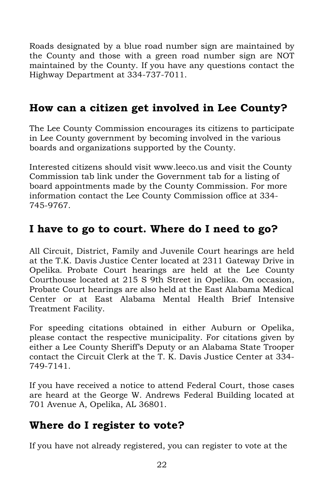Roads designated by a blue road number sign are maintained by the County and those with a green road number sign are NOT maintained by the County. If you have any questions contact the Highway Department at 334-737-7011.

## **How can a citizen get involved in Lee County?**

The Lee County Commission encourages its citizens to participate in Lee County government by becoming involved in the various boards and organizations supported by the County.

Interested citizens should visit www.leeco.us and visit the County Commission tab link under the Government tab for a listing of board appointments made by the County Commission. For more information contact the Lee County Commission office at 334- 745-9767.

## **I have to go to court. Where do I need to go?**

All Circuit, District, Family and Juvenile Court hearings are held at the T.K. Davis Justice Center located at 2311 Gateway Drive in Opelika. Probate Court hearings are held at the Lee County Courthouse located at 215 S 9th Street in Opelika. On occasion, Probate Court hearings are also held at the East Alabama Medical Center or at East Alabama Mental Health Brief Intensive Treatment Facility.

For speeding citations obtained in either Auburn or Opelika, please contact the respective municipality. For citations given by either a Lee County Sheriff's Deputy or an Alabama State Trooper contact the Circuit Clerk at the T. K. Davis Justice Center at 334- 749-7141.

If you have received a notice to attend Federal Court, those cases are heard at the George W. Andrews Federal Building located at 701 Avenue A, Opelika, AL 36801.

## **Where do I register to vote?**

If you have not already registered, you can register to vote at the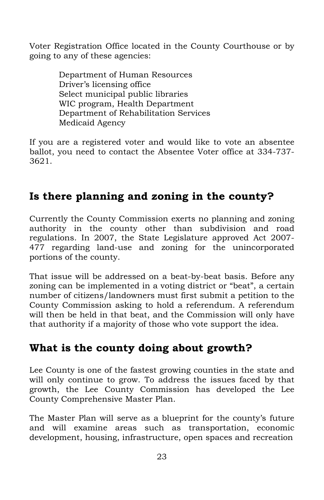Voter Registration Office located in the County Courthouse or by going to any of these agencies:

> Department of Human Resources Driver's licensing office Select municipal public libraries WIC program, Health Department Department of Rehabilitation Services Medicaid Agency

If you are a registered voter and would like to vote an absentee ballot, you need to contact the Absentee Voter office at 334-737- 3621.

## **Is there planning and zoning in the county?**

Currently the County Commission exerts no planning and zoning authority in the county other than subdivision and road regulations. In 2007, the State Legislature approved Act 2007- 477 regarding land-use and zoning for the unincorporated portions of the county.

That issue will be addressed on a beat-by-beat basis. Before any zoning can be implemented in a voting district or "beat", a certain number of citizens/landowners must first submit a petition to the County Commission asking to hold a referendum. A referendum will then be held in that beat, and the Commission will only have that authority if a majority of those who vote support the idea.

### **What is the county doing about growth?**

Lee County is one of the fastest growing counties in the state and will only continue to grow. To address the issues faced by that growth, the Lee County Commission has developed the Lee County Comprehensive Master Plan.

The Master Plan will serve as a blueprint for the county's future and will examine areas such as transportation, economic development, housing, infrastructure, open spaces and recreation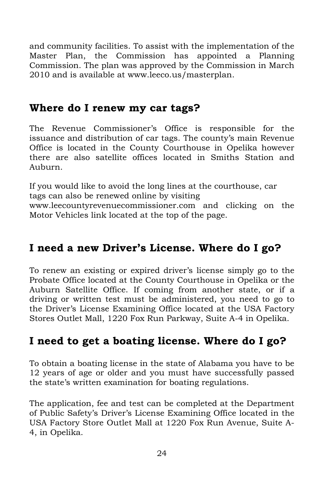and community facilities. To assist with the implementation of the Master Plan, the Commission has appointed a Planning Commission. The plan was approved by the Commission in March 2010 and is available at www.leeco.us/masterplan.

### **Where do I renew my car tags?**

The Revenue Commissioner's Office is responsible for the issuance and distribution of car tags. The county's main Revenue Office is located in the County Courthouse in Opelika however there are also satellite offices located in Smiths Station and Auburn.

If you would like to avoid the long lines at the courthouse, car tags can also be renewed online by visiting

www.leecountyrevenuecommissioner.com and clicking on the Motor Vehicles link located at the top of the page.

## **I need a new Driver's License. Where do I go?**

To renew an existing or expired driver's license simply go to the Probate Office located at the County Courthouse in Opelika or the Auburn Satellite Office. If coming from another state, or if a driving or written test must be administered, you need to go to the Driver's License Examining Office located at the USA Factory Stores Outlet Mall, 1220 Fox Run Parkway, Suite A-4 in Opelika.

## **I need to get a boating license. Where do I go?**

To obtain a boating license in the state of Alabama you have to be 12 years of age or older and you must have successfully passed the state's written examination for boating regulations.

The application, fee and test can be completed at the Department of Public Safety's Driver's License Examining Office located in the USA Factory Store Outlet Mall at 1220 Fox Run Avenue, Suite A-4, in Opelika.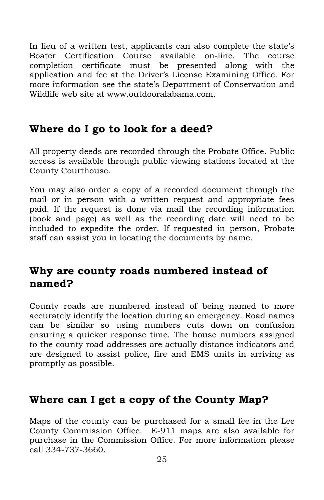In lieu of a written test, applicants can also complete the state's Boater Certification Course available on-line. The course completion certificate must be presented along with the application and fee at the Driver's License Examining Office. For more information see the state's Department of Conservation and Wildlife web site at www.outdooralabama.com.

### **Where do I go to look for a deed?**

All property deeds are recorded through the Probate Office. Public access is available through public viewing stations located at the County Courthouse.

You may also order a copy of a recorded document through the mail or in person with a written request and appropriate fees paid. If the request is done via mail the recording information (book and page) as well as the recording date will need to be included to expedite the order. If requested in person, Probate staff can assist you in locating the documents by name.

### **Why are county roads numbered instead of named?**

County roads are numbered instead of being named to more accurately identify the location during an emergency. Road names can be similar so using numbers cuts down on confusion ensuring a quicker response time. The house numbers assigned to the county road addresses are actually distance indicators and are designed to assist police, fire and EMS units in arriving as promptly as possible.

### **Where can I get a copy of the County Map?**

Maps of the county can be purchased for a small fee in the Lee County Commission Office. E-911 maps are also available for purchase in the Commission Office. For more information please call 334-737-3660.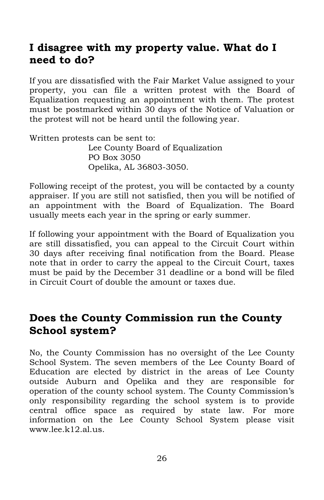## **I disagree with my property value. What do I need to do?**

If you are dissatisfied with the Fair Market Value assigned to your property, you can file a written protest with the Board of Equalization requesting an appointment with them. The protest must be postmarked within 30 days of the Notice of Valuation or the protest will not be heard until the following year.

Written protests can be sent to: Lee County Board of Equalization PO Box 3050 Opelika, AL 36803-3050.

Following receipt of the protest, you will be contacted by a county appraiser. If you are still not satisfied, then you will be notified of an appointment with the Board of Equalization. The Board usually meets each year in the spring or early summer.

If following your appointment with the Board of Equalization you are still dissatisfied, you can appeal to the Circuit Court within 30 days after receiving final notification from the Board. Please note that in order to carry the appeal to the Circuit Court, taxes must be paid by the December 31 deadline or a bond will be filed in Circuit Court of double the amount or taxes due.

### **Does the County Commission run the County School system?**

No, the County Commission has no oversight of the Lee County School System. The seven members of the Lee County Board of Education are elected by district in the areas of Lee County outside Auburn and Opelika and they are responsible for operation of the county school system. The County Commission's only responsibility regarding the school system is to provide central office space as required by state law. For more information on the Lee County School System please visit www.lee.k12.al.us.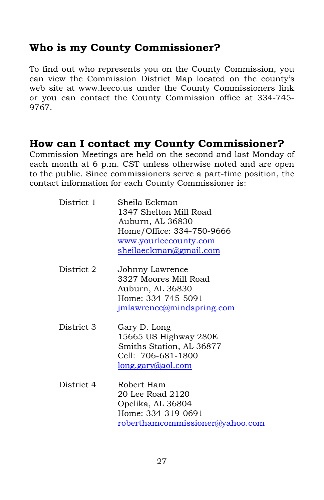### **Who is my County Commissioner?**

To find out who represents you on the County Commission, you can view the Commission District Map located on the county's web site at www.leeco.us under the County Commissioners link or you can contact the County Commission office at 334-745- 9767.

## **How can I contact my County Commissioner?**

Commission Meetings are held on the second and last Monday of each month at 6 p.m. CST unless otherwise noted and are open to the public. Since commissioners serve a part-time position, the contact information for each County Commissioner is:

| District 1 | Sheila Eckman<br>1347 Shelton Mill Road<br>Auburn, AL 36830<br>Home/Office: 334-750-9666<br>www.yourleecounty.com<br>sheilaeckman@gmail.com |
|------------|---------------------------------------------------------------------------------------------------------------------------------------------|
| District 2 | Johnny Lawrence<br>3327 Moores Mill Road<br>Auburn, AL 36830<br>Home: 334-745-5091<br>jmlawrence@mindspring.com                             |
| District 3 | Gary D. Long<br>15665 US Highway 280E<br>Smiths Station, AL 36877<br>Cell: 706-681-1800<br>long.gary@aol.com                                |
| District 4 | Robert Ham<br>20 Lee Road 2120<br>Opelika, AL 36804<br>Home: 334-319-0691<br>roberthamcommissioner@yahoo.com                                |